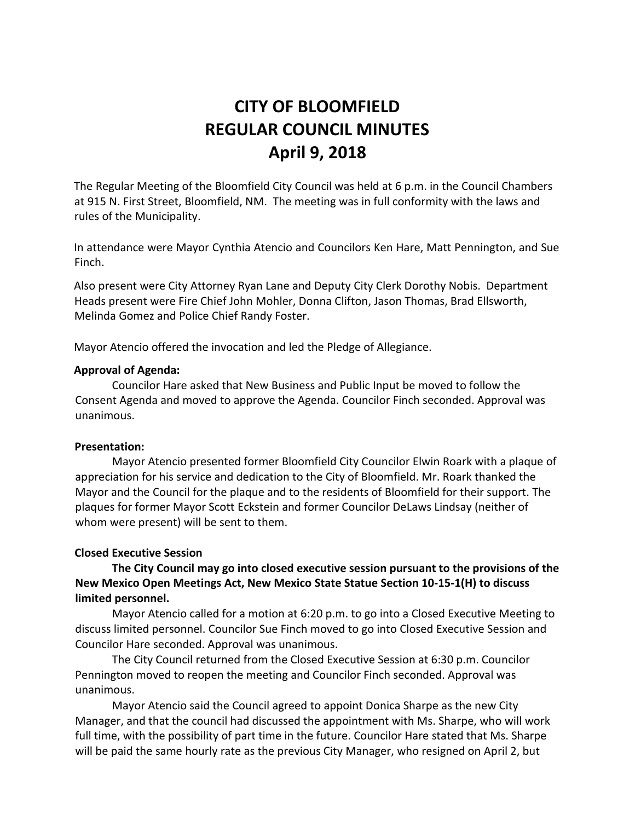# **CITY OF BLOOMFIELD REGULAR COUNCIL MINUTES April 9, 2018**

The Regular Meeting of the Bloomfield City Council was held at 6 p.m. in the Council Chambers at 915 N. First Street, Bloomfield, NM. The meeting was in full conformity with the laws and rules of the Municipality.

In attendance were Mayor Cynthia Atencio and Councilors Ken Hare, Matt Pennington, and Sue Finch.

Also present were City Attorney Ryan Lane and Deputy City Clerk Dorothy Nobis. Department Heads present were Fire Chief John Mohler, Donna Clifton, Jason Thomas, Brad Ellsworth, Melinda Gomez and Police Chief Randy Foster.

Mayor Atencio offered the invocation and led the Pledge of Allegiance.

## **Approval of Agenda:**

Councilor Hare asked that New Business and Public Input be moved to follow the Consent Agenda and moved to approve the Agenda. Councilor Finch seconded. Approval was unanimous.

#### **Presentation:**

Mayor Atencio presented former Bloomfield City Councilor Elwin Roark with a plaque of appreciation for his service and dedication to the City of Bloomfield. Mr. Roark thanked the Mayor and the Council for the plaque and to the residents of Bloomfield for their support. The plaques for former Mayor Scott Eckstein and former Councilor DeLaws Lindsay (neither of whom were present) will be sent to them.

# **Closed Executive Session**

**The City Council may go into closed executive session pursuant to the provisions of the New Mexico Open Meetings Act, New Mexico State Statue Section 10-15-1(H) to discuss limited personnel.**

Mayor Atencio called for a motion at 6:20 p.m. to go into a Closed Executive Meeting to discuss limited personnel. Councilor Sue Finch moved to go into Closed Executive Session and Councilor Hare seconded. Approval was unanimous.

The City Council returned from the Closed Executive Session at 6:30 p.m. Councilor Pennington moved to reopen the meeting and Councilor Finch seconded. Approval was unanimous.

Mayor Atencio said the Council agreed to appoint Donica Sharpe as the new City Manager, and that the council had discussed the appointment with Ms. Sharpe, who will work full time, with the possibility of part time in the future. Councilor Hare stated that Ms. Sharpe will be paid the same hourly rate as the previous City Manager, who resigned on April 2, but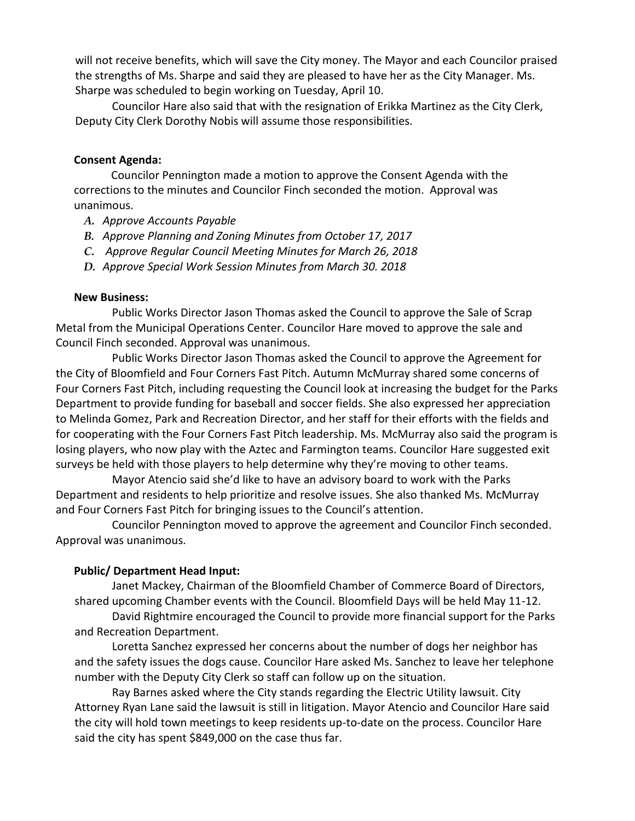will not receive benefits, which will save the City money. The Mayor and each Councilor praised the strengths of Ms. Sharpe and said they are pleased to have her as the City Manager. Ms. Sharpe was scheduled to begin working on Tuesday, April 10.

Councilor Hare also said that with the resignation of Erikka Martinez as the City Clerk, Deputy City Clerk Dorothy Nobis will assume those responsibilities.

#### **Consent Agenda:**

Councilor Pennington made a motion to approve the Consent Agenda with the corrections to the minutes and Councilor Finch seconded the motion. Approval was unanimous.

- *A. Approve Accounts Payable*
- *B. Approve Planning and Zoning Minutes from October 17, 2017*
- *C. Approve Regular Council Meeting Minutes for March 26, 2018*
- *D. Approve Special Work Session Minutes from March 30. 2018*

#### **New Business:**

Public Works Director Jason Thomas asked the Council to approve the Sale of Scrap Metal from the Municipal Operations Center. Councilor Hare moved to approve the sale and Council Finch seconded. Approval was unanimous.

Public Works Director Jason Thomas asked the Council to approve the Agreement for the City of Bloomfield and Four Corners Fast Pitch. Autumn McMurray shared some concerns of Four Corners Fast Pitch, including requesting the Council look at increasing the budget for the Parks Department to provide funding for baseball and soccer fields. She also expressed her appreciation to Melinda Gomez, Park and Recreation Director, and her staff for their efforts with the fields and for cooperating with the Four Corners Fast Pitch leadership. Ms. McMurray also said the program is losing players, who now play with the Aztec and Farmington teams. Councilor Hare suggested exit surveys be held with those players to help determine why they're moving to other teams.

Mayor Atencio said she'd like to have an advisory board to work with the Parks Department and residents to help prioritize and resolve issues. She also thanked Ms. McMurray and Four Corners Fast Pitch for bringing issues to the Council's attention.

Councilor Pennington moved to approve the agreement and Councilor Finch seconded. Approval was unanimous.

# **Public/ Department Head Input:**

Janet Mackey, Chairman of the Bloomfield Chamber of Commerce Board of Directors, shared upcoming Chamber events with the Council. Bloomfield Days will be held May 11-12.

David Rightmire encouraged the Council to provide more financial support for the Parks and Recreation Department.

Loretta Sanchez expressed her concerns about the number of dogs her neighbor has and the safety issues the dogs cause. Councilor Hare asked Ms. Sanchez to leave her telephone number with the Deputy City Clerk so staff can follow up on the situation.

Ray Barnes asked where the City stands regarding the Electric Utility lawsuit. City Attorney Ryan Lane said the lawsuit is still in litigation. Mayor Atencio and Councilor Hare said the city will hold town meetings to keep residents up-to-date on the process. Councilor Hare said the city has spent \$849,000 on the case thus far.